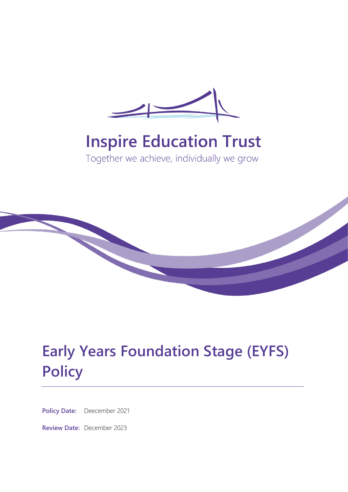

# **Inspire Education Trust**

Together we achieve, individually we grow



# **Early Years Foundation Stage (EYFS) Policy**

**Policy Date:** Deecember 2021

**Review Date:** December 2023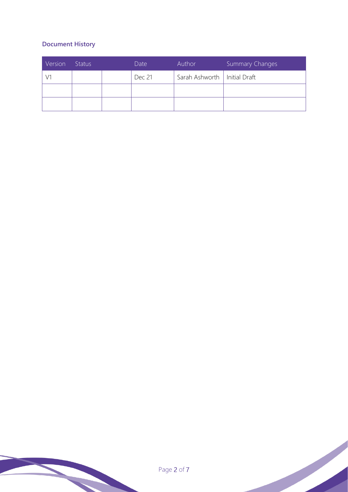### **Document History**

| Version | <b>Status</b> | Date   | Author                         | <b>Summary Changes</b> |
|---------|---------------|--------|--------------------------------|------------------------|
|         |               | Dec 21 | Sarah Ashworth   Initial Draft |                        |
|         |               |        |                                |                        |
|         |               |        |                                |                        |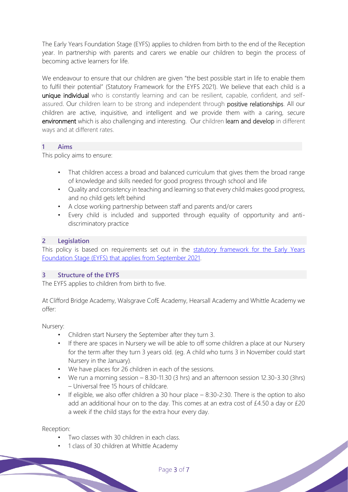The Early Years Foundation Stage (EYFS) applies to children from birth to the end of the Reception year. In partnership with parents and carers we enable our children to begin the process of becoming active learners for life.

We endeavour to ensure that our children are given "the best possible start in life to enable them to fulfil their potential" (Statutory Framework for the EYFS 2021). We believe that each child is a unique individual who is constantly learning and can be resilient, capable, confident, and selfassured. Our children learn to be strong and independent through positive relationships. All our children are active, inquisitive, and intelligent and we provide them with a caring, secure environment which is also challenging and interesting. Our children learn and develop in different ways and at different rates.

#### **1 Aims**

This policy aims to ensure:

- That children access a broad and balanced curriculum that gives them the broad range of knowledge and skills needed for good progress through school and life
- Quality and consistency in teaching and learning so that every child makes good progress, and no child gets left behind
- A close working partnership between staff and parents and/or carers
- Every child is included and supported through equality of opportunity and antidiscriminatory practice

#### **2 Legislation**

This policy is based on requirements set out in the statutory framework for the Early Years [Foundation Stage \(EYFS\) that applies from September 2021.](https://www.gov.uk/government/publications/early-years-foundation-stage-framework--2/)

#### **3 Structure of the EYFS**

The EYFS applies to children from birth to five.

At Clifford Bridge Academy, Walsgrave CofE Academy, Hearsall Academy and Whittle Academy we offer:

Nursery:

- Children start Nursery the September after they turn 3.
- If there are spaces in Nursery we will be able to off some children a place at our Nursery for the term after they turn 3 years old. (eg. A child who turns 3 in November could start Nursery in the January).
- We have places for 26 children in each of the sessions.
- We run a morning session 8.30-11.30 (3 hrs) and an afternoon session 12.30-3.30 (3hrs) – Universal free 15 hours of childcare.
- If eligible, we also offer children a 30 hour place 8:30-2:30. There is the option to also add an additional hour on to the day. This comes at an extra cost of £4.50 a day or £20 a week if the child stays for the extra hour every day.

Reception:

- Two classes with 30 children in each class.
- 1 class of 30 children at Whittle Academy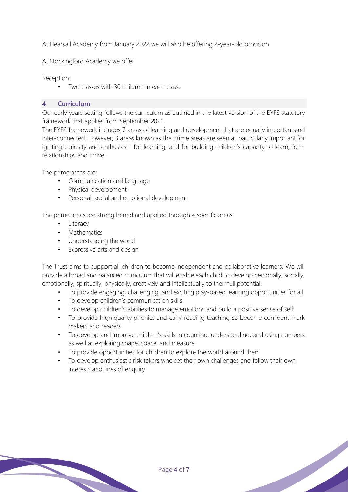At Hearsall Academy from January 2022 we will also be offering 2-year-old provision.

At Stockingford Academy we offer

Reception:

• Two classes with 30 children in each class.

#### **4 Curriculum**

Our early years setting follows the curriculum as outlined in the latest version of the EYFS statutory framework that applies from September 2021.

The EYFS framework includes 7 areas of learning and development that are equally important and inter-connected. However, 3 areas known as the prime areas are seen as particularly important for igniting curiosity and enthusiasm for learning, and for building children's capacity to learn, form relationships and thrive.

The prime areas are:

- Communication and language
- Physical development
- Personal, social and emotional development

The prime areas are strengthened and applied through 4 specific areas:

- **Literacy**
- Mathematics
- Understanding the world
- Expressive arts and design

The Trust aims to support all children to become independent and collaborative learners. We will provide a broad and balanced curriculum that will enable each child to develop personally, socially, emotionally, spiritually, physically, creatively and intellectually to their full potential.

- To provide engaging, challenging, and exciting play-based learning opportunities for all
- To develop children's communication skills
- To develop children's abilities to manage emotions and build a positive sense of self
- To provide high quality phonics and early reading teaching so become confident mark makers and readers
- To develop and improve children's skills in counting, understanding, and using numbers as well as exploring shape, space, and measure
- To provide opportunities for children to explore the world around them
- To develop enthusiastic risk takers who set their own challenges and follow their own interests and lines of enquiry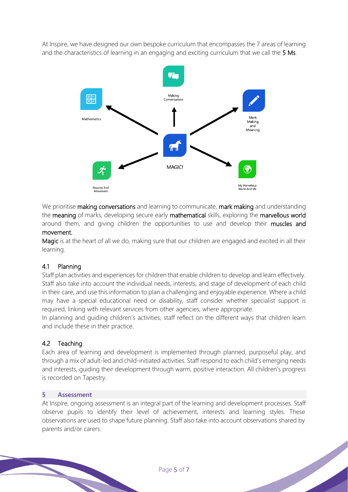At Inspire, we have designed our own bespoke curriculum that encompasses the 7 areas of learning and the characteristics of learning in an engaging and exciting curriculum that we call the 5 Ms.



We prioritise making conversations and learning to communicate, mark making and understanding the meaning of marks, developing secure early mathematical skills, exploring the marvellous world around them, and giving children the opportunities to use and develop their muscles and movement.

Magic is at the heart of all we do, making sure that our children are engaged and excited in all their learning.

#### 4.1 Planning

Staff plan activities and experiences for children that enable children to develop and learn effectively. Staff also take into account the individual needs, interests, and stage of development of each child in their care, and use this information to plan a challenging and enjoyable experience. Where a child may have a special educational need or disability, staff consider whether specialist support is required, linking with relevant services from other agencies, where appropriate.

In planning and guiding children's activities, staff reflect on the different ways that children learn and include these in their practice.

#### 4.2 Teaching

Each area of learning and development is implemented through planned, purposeful play, and through a mix of adult-led and child-initiated activities. Staff respond to each child's emerging needs and interests, guiding their development through warm, positive interaction. All children's progress is recorded on Tapestry.

#### **5 Assessment**

At Inspire, ongoing assessment is an integral part of the learning and development processes. Staff observe pupils to identify their level of achievement, interests and learning styles. These observations are used to shape future planning. Staff also take into account observations shared by parents and/or carers.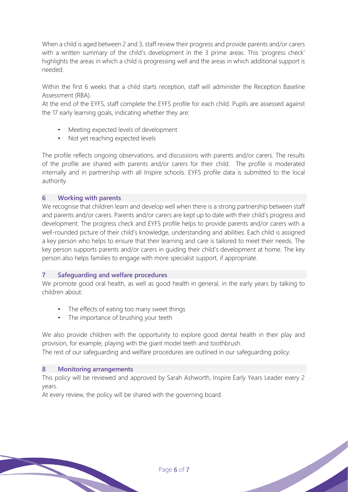When a child is aged between 2 and 3, staff review their progress and provide parents and/or carers with a written summary of the child's development in the 3 prime areas. This 'progress check' highlights the areas in which a child is progressing well and the areas in which additional support is needed.

Within the first 6 weeks that a child starts reception, staff will administer the Reception Baseline Assessment (RBA).

At the end of the EYFS, staff complete the EYFS profile for each child. Pupils are assessed against the 17 early learning goals, indicating whether they are:

- Meeting expected levels of development
- Not yet reaching expected levels

The profile reflects ongoing observations, and discussions with parents and/or carers. The results of the profile are shared with parents and/or carers for their child. The profile is moderated internally and in partnership with all Inspire schools. EYFS profile data is submitted to the local authority.

#### **6 Working with parents**

We recognise that children learn and develop well when there is a strong partnership between staff and parents and/or carers. Parents and/or carers are kept up to date with their child's progress and development. The progress check and EYFS profile helps to provide parents and/or carers with a well-rounded picture of their child's knowledge, understanding and abilities. Each child is assigned a key person who helps to ensure that their learning and care is tailored to meet their needs. The key person supports parents and/or carers in guiding their child's development at home. The key person also helps families to engage with more specialist support, if appropriate.

#### **7 Safeguarding and welfare procedures**

We promote good oral health, as well as good health in general, in the early years by talking to children about:

- The effects of eating too many sweet things
- The importance of brushing your teeth

We also provide children with the opportunity to explore good dental health in their play and provision, for example, playing with the giant model teeth and toothbrush. The rest of our safeguarding and welfare procedures are outlined in our safeguarding policy.

### **8 Monitoring arrangements**

This policy will be reviewed and approved by Sarah Ashworth, Inspire Early Years Leader every 2 years.

At every review, the policy will be shared with the governing board.